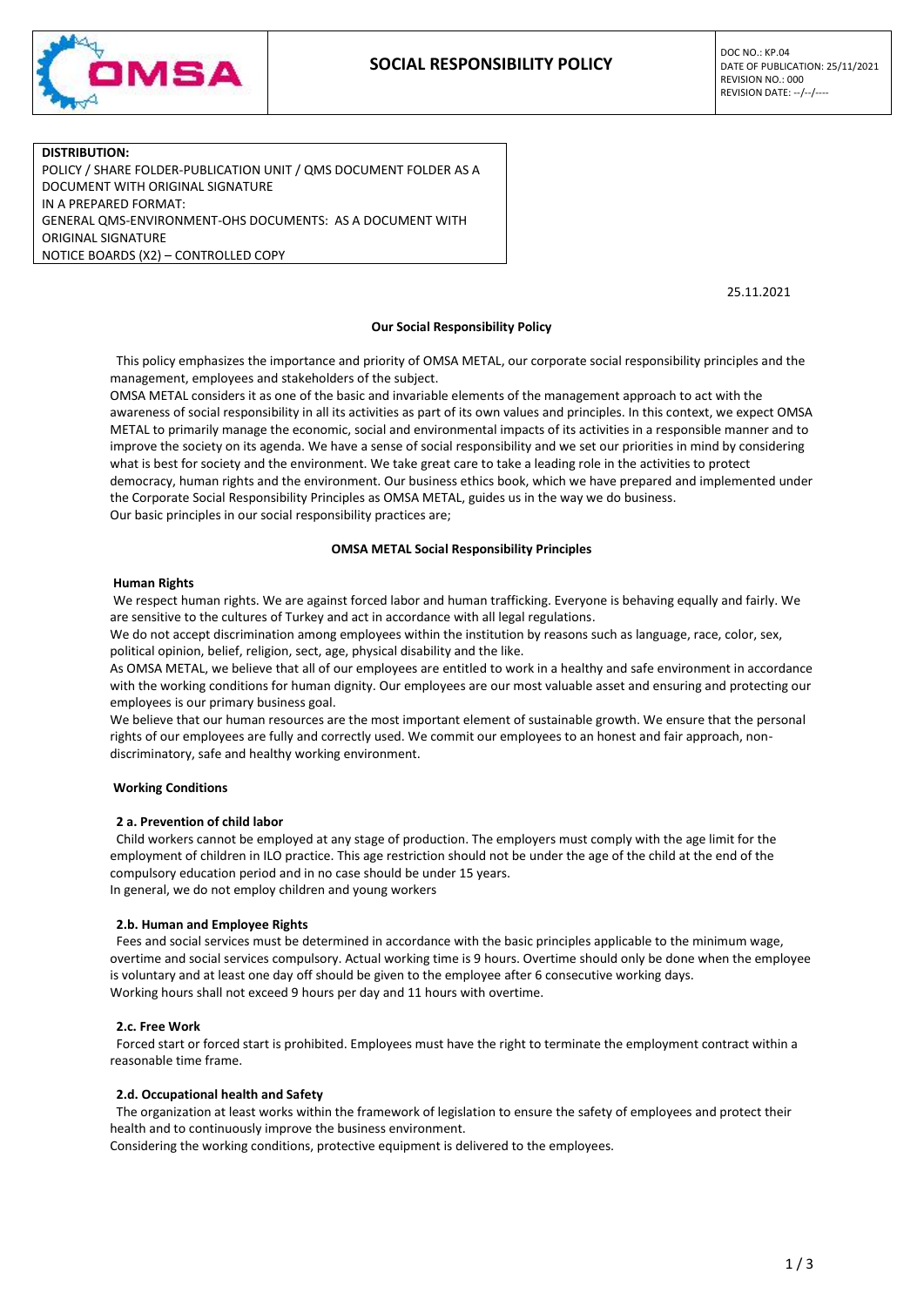

## **DISTRIBUTION:**

POLICY / SHARE FOLDER-PUBLICATION UNIT / QMS DOCUMENT FOLDER AS A DOCUMENT WITH ORIGINAL SIGNATURE IN A PREPARED FORMAT: GENERAL QMS-ENVIRONMENT-OHS DOCUMENTS: AS A DOCUMENT WITH ORIGINAL SIGNATURE NOTICE BOARDS (X2) – CONTROLLED COPY

25.11.2021

#### **Our Social Responsibility Policy**

 This policy emphasizes the importance and priority of OMSA METAL, our corporate social responsibility principles and the management, employees and stakeholders of the subject.

OMSA METAL considers it as one of the basic and invariable elements of the management approach to act with the awareness of social responsibility in all its activities as part of its own values and principles. In this context, we expect OMSA METAL to primarily manage the economic, social and environmental impacts of its activities in a responsible manner and to improve the society on its agenda. We have a sense of social responsibility and we set our priorities in mind by considering what is best for society and the environment. We take great care to take a leading role in the activities to protect democracy, human rights and the environment. Our business ethics book, which we have prepared and implemented under the Corporate Social Responsibility Principles as OMSA METAL, guides us in the way we do business. Our basic principles in our social responsibility practices are;

### **OMSA METAL Social Responsibility Principles**

## **Human Rights**

We respect human rights. We are against forced labor and human trafficking. Everyone is behaving equally and fairly. We are sensitive to the cultures of Turkey and act in accordance with all legal regulations.

We do not accept discrimination among employees within the institution by reasons such as language, race, color, sex, political opinion, belief, religion, sect, age, physical disability and the like.

As OMSA METAL, we believe that all of our employees are entitled to work in a healthy and safe environment in accordance with the working conditions for human dignity. Our employees are our most valuable asset and ensuring and protecting our employees is our primary business goal.

We believe that our human resources are the most important element of sustainable growth. We ensure that the personal rights of our employees are fully and correctly used. We commit our employees to an honest and fair approach, nondiscriminatory, safe and healthy working environment.

## **Working Conditions**

### **2 a. Prevention of child labor**

 Child workers cannot be employed at any stage of production. The employers must comply with the age limit for the employment of children in ILO practice. This age restriction should not be under the age of the child at the end of the compulsory education period and in no case should be under 15 years. In general, we do not employ children and young workers

## **2.b. Human and Employee Rights**

 Fees and social services must be determined in accordance with the basic principles applicable to the minimum wage, overtime and social services compulsory. Actual working time is 9 hours. Overtime should only be done when the employee is voluntary and at least one day off should be given to the employee after 6 consecutive working days. Working hours shall not exceed 9 hours per day and 11 hours with overtime.

### **2.c. Free Work**

 Forced start or forced start is prohibited. Employees must have the right to terminate the employment contract within a reasonable time frame.

## **2.d. Occupational health and Safety**

 The organization at least works within the framework of legislation to ensure the safety of employees and protect their health and to continuously improve the business environment.

Considering the working conditions, protective equipment is delivered to the employees.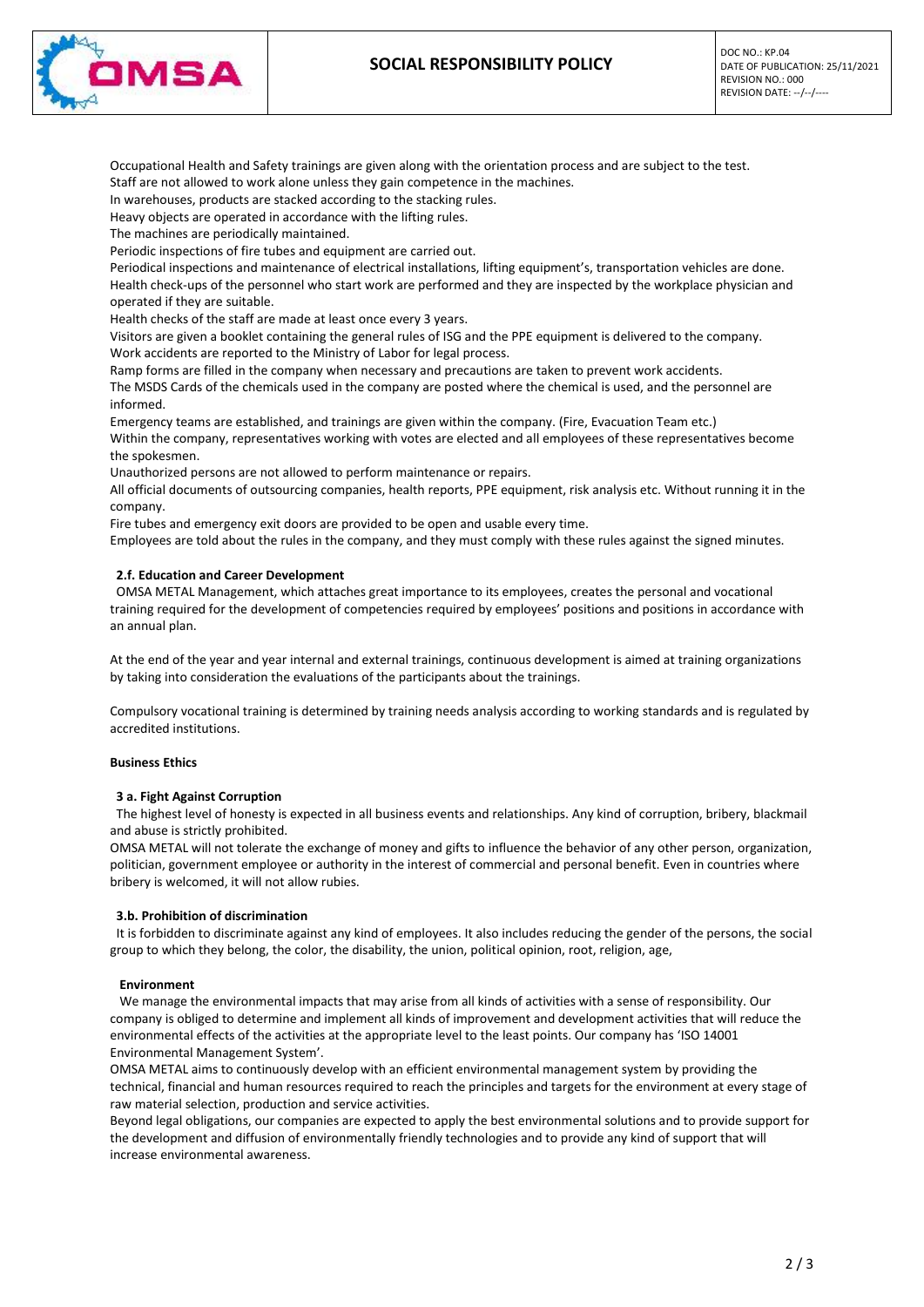# **SOCIAL RESPONSIBILITY POLICY**



Occupational Health and Safety trainings are given along with the orientation process and are subject to the test. Staff are not allowed to work alone unless they gain competence in the machines.

In warehouses, products are stacked according to the stacking rules.

Heavy objects are operated in accordance with the lifting rules.

The machines are periodically maintained.

Periodic inspections of fire tubes and equipment are carried out.

Periodical inspections and maintenance of electrical installations, lifting equipment's, transportation vehicles are done. Health check-ups of the personnel who start work are performed and they are inspected by the workplace physician and operated if they are suitable.

Health checks of the staff are made at least once every 3 years.

Visitors are given a booklet containing the general rules of ISG and the PPE equipment is delivered to the company. Work accidents are reported to the Ministry of Labor for legal process.

Ramp forms are filled in the company when necessary and precautions are taken to prevent work accidents.

The MSDS Cards of the chemicals used in the company are posted where the chemical is used, and the personnel are informed.

Emergency teams are established, and trainings are given within the company. (Fire, Evacuation Team etc.)

Within the company, representatives working with votes are elected and all employees of these representatives become the spokesmen.

Unauthorized persons are not allowed to perform maintenance or repairs.

All official documents of outsourcing companies, health reports, PPE equipment, risk analysis etc. Without running it in the company.

Fire tubes and emergency exit doors are provided to be open and usable every time.

Employees are told about the rules in the company, and they must comply with these rules against the signed minutes.

# **2.f. Education and Career Development**

 OMSA METAL Management, which attaches great importance to its employees, creates the personal and vocational training required for the development of competencies required by employees' positions and positions in accordance with an annual plan.

At the end of the year and year internal and external trainings, continuous development is aimed at training organizations by taking into consideration the evaluations of the participants about the trainings.

Compulsory vocational training is determined by training needs analysis according to working standards and is regulated by accredited institutions.

# **Business Ethics**

# **3 a. Fight Against Corruption**

 The highest level of honesty is expected in all business events and relationships. Any kind of corruption, bribery, blackmail and abuse is strictly prohibited.

OMSA METAL will not tolerate the exchange of money and gifts to influence the behavior of any other person, organization, politician, government employee or authority in the interest of commercial and personal benefit. Even in countries where bribery is welcomed, it will not allow rubies.

# **3.b. Prohibition of discrimination**

 It is forbidden to discriminate against any kind of employees. It also includes reducing the gender of the persons, the social group to which they belong, the color, the disability, the union, political opinion, root, religion, age,

# **Environment**

 We manage the environmental impacts that may arise from all kinds of activities with a sense of responsibility. Our company is obliged to determine and implement all kinds of improvement and development activities that will reduce the environmental effects of the activities at the appropriate level to the least points. Our company has 'ISO 14001 Environmental Management System'.

OMSA METAL aims to continuously develop with an efficient environmental management system by providing the technical, financial and human resources required to reach the principles and targets for the environment at every stage of raw material selection, production and service activities.

Beyond legal obligations, our companies are expected to apply the best environmental solutions and to provide support for the development and diffusion of environmentally friendly technologies and to provide any kind of support that will increase environmental awareness.